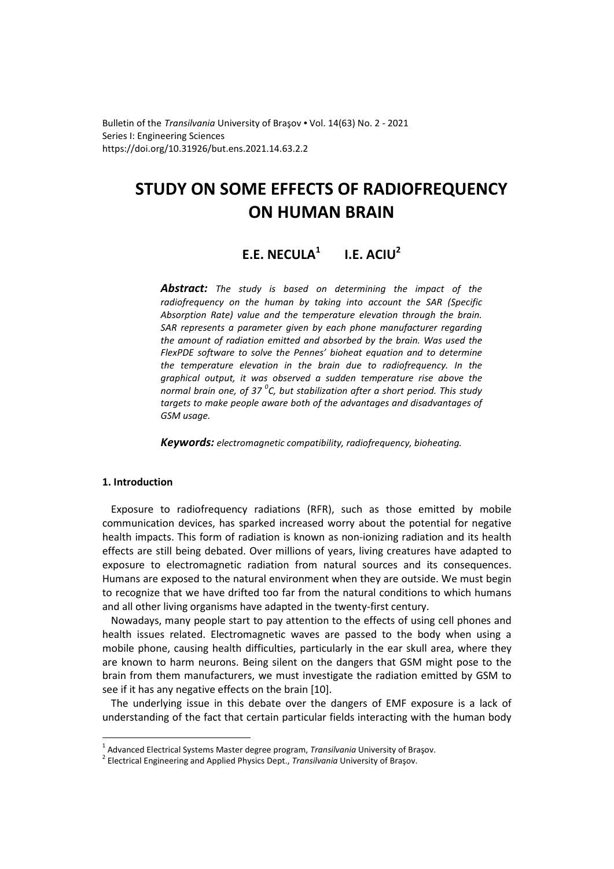Bulletin of the *Transilvania* University of Braşov • Vol. 14(63) No. 2 - 2021 Series I: Engineering Sciences https://doi.org/10.31926/but.ens.2021.14.63.2.2

# **STUDY ON SOME EFFECTS OF RADIOFREQUENCY ON HUMAN BRAIN**

# **E.E. NECULA<sup>1</sup> I.E. ACIU<sup>2</sup>**

*Abstract: The study is based on determining the impact of the radiofrequency on the human by taking into account the SAR (Specific Absorption Rate) value and the temperature elevation through the brain. SAR represents a parameter given by each phone manufacturer regarding the amount of radiation emitted and absorbed by the brain. Was used the FlexPDE software to solve the Pennes' bioheat equation and to determine the temperature elevation in the brain due to radiofrequency. In the graphical output, it was observed a sudden temperature rise above the normal brain one, of 37 <sup>0</sup> C, but stabilization after a short period. This study targets to make people aware both of the advantages and disadvantages of GSM usage.* 

*Keywords: electromagnetic compatibility, radiofrequency, bioheating.*

# **1. Introduction**

 $\overline{a}$ 

Exposure to radiofrequency radiations (RFR), such as those emitted by mobile communication devices, has sparked increased worry about the potential for negative health impacts. This form of radiation is known as non-ionizing radiation and its health effects are still being debated. Over millions of years, living creatures have adapted to exposure to electromagnetic radiation from natural sources and its consequences. Humans are exposed to the natural environment when they are outside. We must begin to recognize that we have drifted too far from the natural conditions to which humans and all other living organisms have adapted in the twenty-first century.

Nowadays, many people start to pay attention to the effects of using cell phones and health issues related. Electromagnetic waves are passed to the body when using a mobile phone, causing health difficulties, particularly in the ear skull area, where they are known to harm neurons. Being silent on the dangers that GSM might pose to the brain from them manufacturers, we must investigate the radiation emitted by GSM to see if it has any negative effects on the brain [10].

The underlying issue in this debate over the dangers of EMF exposure is a lack of understanding of the fact that certain particular fields interacting with the human body

<sup>1</sup> Advanced Electrical Systems Master degree program, *Transilvania* University of Braşov.

<sup>2</sup> Electrical Engineering and Applied Physics Dept., *Transilvania* University of Braşov.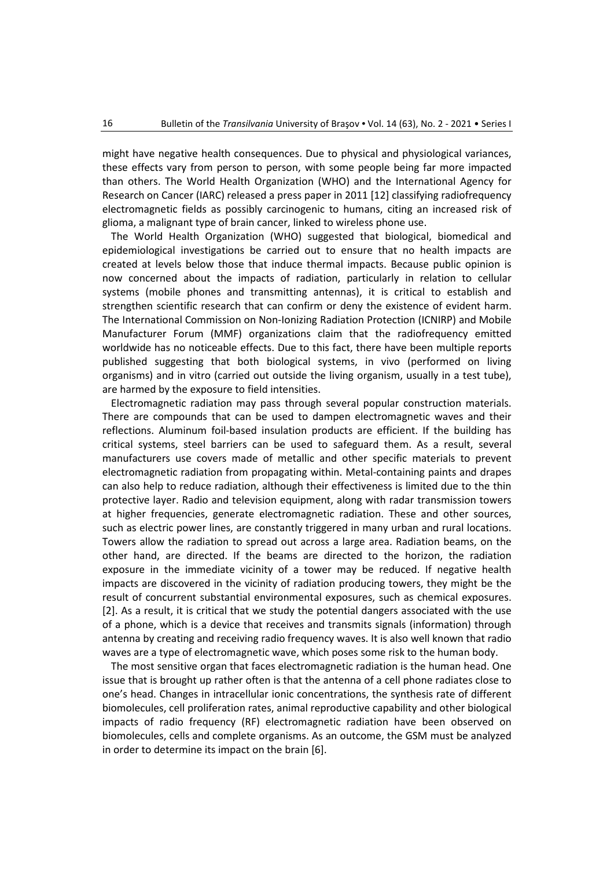might have negative health consequences. Due to physical and physiological variances, these effects vary from person to person, with some people being far more impacted than others. The World Health Organization (WHO) and the International Agency for Research on Cancer (IARC) released a press paper in 2011 [12] classifying radiofrequency electromagnetic fields as possibly carcinogenic to humans, citing an increased risk of glioma, a malignant type of brain cancer, linked to wireless phone use.

The World Health Organization (WHO) suggested that biological, biomedical and epidemiological investigations be carried out to ensure that no health impacts are created at levels below those that induce thermal impacts. Because public opinion is now concerned about the impacts of radiation, particularly in relation to cellular systems (mobile phones and transmitting antennas), it is critical to establish and strengthen scientific research that can confirm or deny the existence of evident harm. The International Commission on Non-Ionizing Radiation Protection (ICNIRP) and Mobile Manufacturer Forum (MMF) organizations claim that the radiofrequency emitted worldwide has no noticeable effects. Due to this fact, there have been multiple reports published suggesting that both biological systems, in vivo (performed on living organisms) and in vitro (carried out outside the living organism, usually in a test tube), are harmed by the exposure to field intensities.

Electromagnetic radiation may pass through several popular construction materials. There are compounds that can be used to dampen electromagnetic waves and their reflections. Aluminum foil-based insulation products are efficient. If the building has critical systems, steel barriers can be used to safeguard them. As a result, several manufacturers use covers made of metallic and other specific materials to prevent electromagnetic radiation from propagating within. Metal-containing paints and drapes can also help to reduce radiation, although their effectiveness is limited due to the thin protective layer. Radio and television equipment, along with radar transmission towers at higher frequencies, generate electromagnetic radiation. These and other sources, such as electric power lines, are constantly triggered in many urban and rural locations. Towers allow the radiation to spread out across a large area. Radiation beams, on the other hand, are directed. If the beams are directed to the horizon, the radiation exposure in the immediate vicinity of a tower may be reduced. If negative health impacts are discovered in the vicinity of radiation producing towers, they might be the result of concurrent substantial environmental exposures, such as chemical exposures. [2]. As a result, it is critical that we study the potential dangers associated with the use of a phone, which is a device that receives and transmits signals (information) through antenna by creating and receiving radio frequency waves. It is also well known that radio waves are a type of electromagnetic wave, which poses some risk to the human body.

The most sensitive organ that faces electromagnetic radiation is the human head. One issue that is brought up rather often is that the antenna of a cell phone radiates close to one's head. Changes in intracellular ionic concentrations, the synthesis rate of different biomolecules, cell proliferation rates, animal reproductive capability and other biological impacts of radio frequency (RF) electromagnetic radiation have been observed on biomolecules, cells and complete organisms. As an outcome, the GSM must be analyzed in order to determine its impact on the brain [6].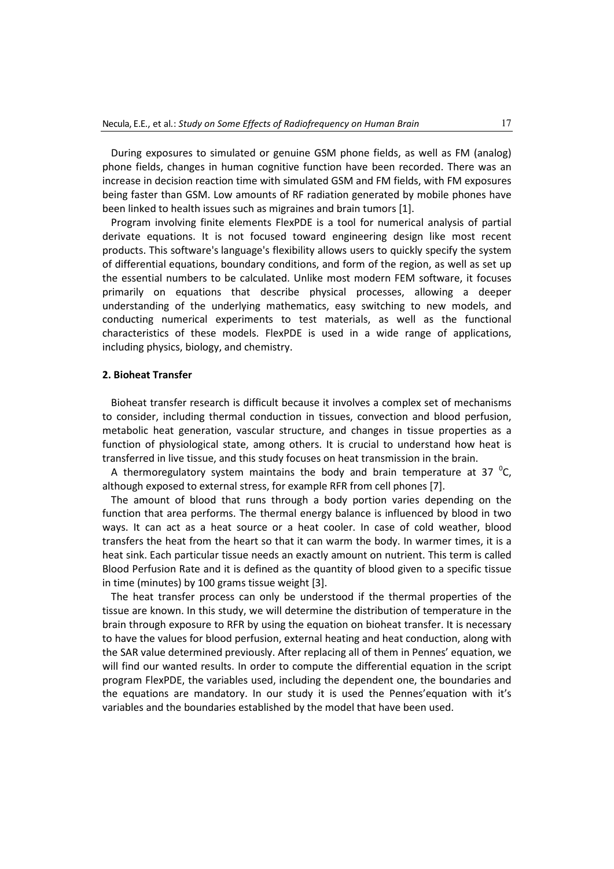During exposures to simulated or genuine GSM phone fields, as well as FM (analog) phone fields, changes in human cognitive function have been recorded. There was an increase in decision reaction time with simulated GSM and FM fields, with FM exposures being faster than GSM. Low amounts of RF radiation generated by mobile phones have been linked to health issues such as migraines and brain tumors [1].

Program involving finite elements FlexPDE is a tool for numerical analysis of partial derivate equations. It is not focused toward engineering design like most recent products. This software's language's flexibility allows users to quickly specify the system of differential equations, boundary conditions, and form of the region, as well as set up the essential numbers to be calculated. Unlike most modern FEM software, it focuses primarily on equations that describe physical processes, allowing a deeper understanding of the underlying mathematics, easy switching to new models, and conducting numerical experiments to test materials, as well as the functional characteristics of these models. FlexPDE is used in a wide range of applications, including physics, biology, and chemistry.

## **2. Bioheat Transfer**

Bioheat transfer research is difficult because it involves a complex set of mechanisms to consider, including thermal conduction in tissues, convection and blood perfusion, metabolic heat generation, vascular structure, and changes in tissue properties as a function of physiological state, among others. It is crucial to understand how heat is transferred in live tissue, and this study focuses on heat transmission in the brain.

A thermoregulatory system maintains the body and brain temperature at 37  $^0$ C, although exposed to external stress, for example RFR from cell phones [7].

The amount of blood that runs through a body portion varies depending on the function that area performs. The thermal energy balance is influenced by blood in two ways. It can act as a heat source or a heat cooler. In case of cold weather, blood transfers the heat from the heart so that it can warm the body. In warmer times, it is a heat sink. Each particular tissue needs an exactly amount on nutrient. This term is called Blood Perfusion Rate and it is defined as the quantity of blood given to a specific tissue in time (minutes) by 100 grams tissue weight [3].

The heat transfer process can only be understood if the thermal properties of the tissue are known. In this study, we will determine the distribution of temperature in the brain through exposure to RFR by using the equation on bioheat transfer. It is necessary to have the values for blood perfusion, external heating and heat conduction, along with the SAR value determined previously. After replacing all of them in Pennes' equation, we will find our wanted results. In order to compute the differential equation in the script program FlexPDE, the variables used, including the dependent one, the boundaries and the equations are mandatory. In our study it is used the Pennes'equation with it's variables and the boundaries established by the model that have been used.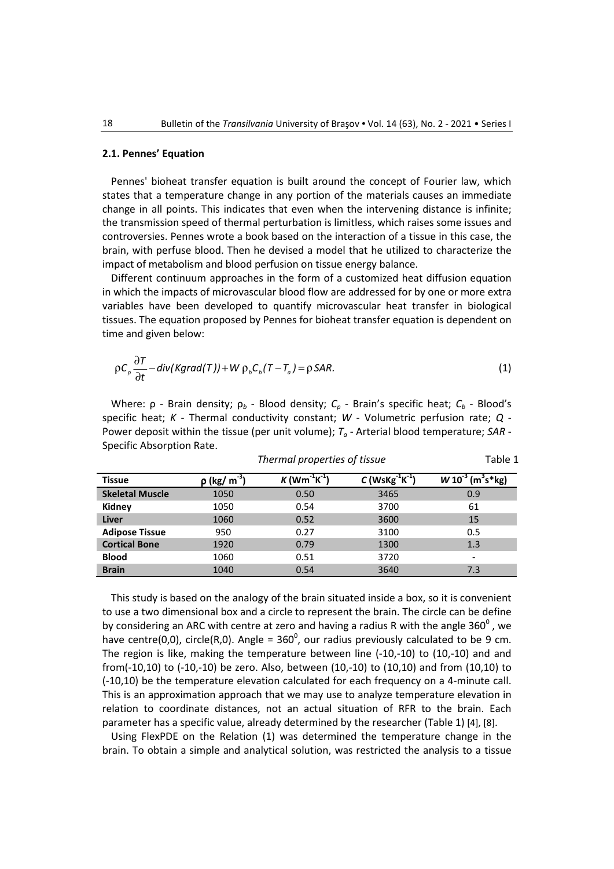# **2.1. Pennes' Equation**

Pennes' bioheat transfer equation is built around the concept of Fourier law, which states that a temperature change in any portion of the materials causes an immediate change in all points. This indicates that even when the intervening distance is infinite; the transmission speed of thermal perturbation is limitless, which raises some issues and controversies. Pennes wrote a book based on the interaction of a tissue in this case, the brain, with perfuse blood. Then he devised a model that he utilized to characterize the impact of metabolism and blood perfusion on tissue energy balance.

Different continuum approaches in the form of a customized heat diffusion equation in which the impacts of microvascular blood flow are addressed for by one or more extra variables have been developed to quantify microvascular heat transfer in biological tissues. The equation proposed by Pennes for bioheat transfer equation is dependent on time and given below:

$$
\rho C_{\rho} \frac{\partial T}{\partial t} - \text{div}(K \text{grad}(T)) + W \rho_{b} C_{b} (T - T_{a}) = \rho \text{SAR}.
$$
 (1)

Where: ρ - Brain density; ρ*b* - Blood density; *Cp* - Brain's specific heat; *Cb* - Blood's specific heat; *K* - Thermal conductivity constant; *W* - Volumetric perfusion rate; *Q* - Power deposit within the tissue (per unit volume); *Ta* - Arterial blood temperature; *SAR* - Specific Absorption Rate.

*Thermal properties of tissue* Table 1

| <b>Tissue</b>          | $\rho$ (kg/ m $^{-3}$ ) | $K$ (Wm <sup>-1</sup> K <sup>-1</sup> | C (WsKg $^{-1}$ K $^{-1}$ ) | $(m^3s^*kg)$<br>W10 |
|------------------------|-------------------------|---------------------------------------|-----------------------------|---------------------|
| <b>Skeletal Muscle</b> | 1050                    | 0.50                                  | 3465                        | 0.9                 |
| Kidney                 | 1050                    | 0.54                                  | 3700                        | 61                  |
| Liver                  | 1060                    | 0.52                                  | 3600                        | 15                  |
| <b>Adipose Tissue</b>  | 950                     | 0.27                                  | 3100                        | 0.5                 |
| <b>Cortical Bone</b>   | 1920                    | 0.79                                  | 1300                        | 1.3                 |
| <b>Blood</b>           | 1060                    | 0.51                                  | 3720                        | -                   |
| <b>Brain</b>           | 1040                    | 0.54                                  | 3640                        | 7.3                 |

This study is based on the analogy of the brain situated inside a box, so it is convenient to use a two dimensional box and a circle to represent the brain. The circle can be define by considering an ARC with centre at zero and having a radius R with the angle 360 $^{\circ}$  , we have centre(0,0), circle(R,0). Angle =  $360^0$ , our radius previously calculated to be 9 cm. The region is like, making the temperature between line (-10,-10) to (10,-10) and and from(-10,10) to (-10,-10) be zero. Also, between (10,-10) to (10,10) and from (10,10) to (-10,10) be the temperature elevation calculated for each frequency on a 4-minute call. This is an approximation approach that we may use to analyze temperature elevation in relation to coordinate distances, not an actual situation of RFR to the brain. Each parameter has a specific value, already determined by the researcher (Table 1) [4], [8].

Using FlexPDE on the Relation (1) was determined the temperature change in the brain. To obtain a simple and analytical solution, was restricted the analysis to a tissue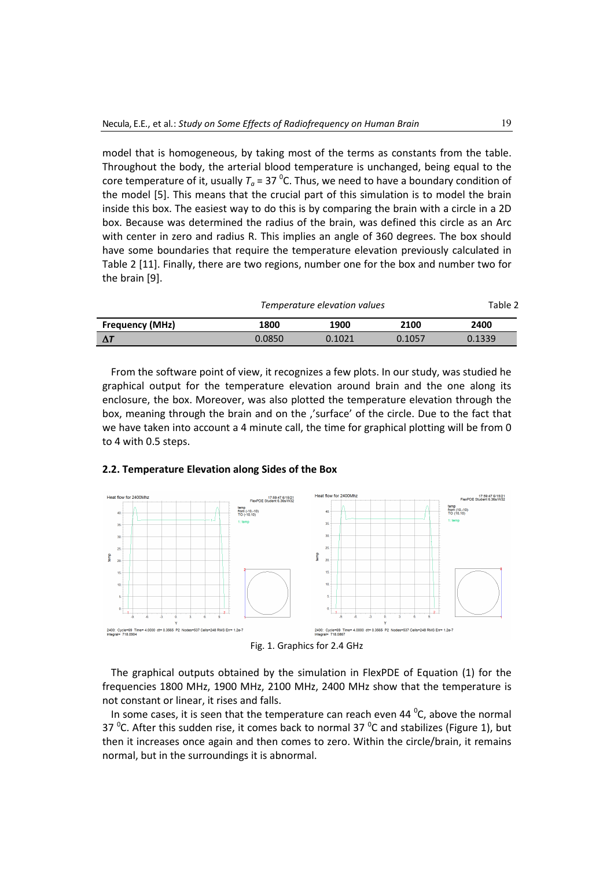model that is homogeneous, by taking most of the terms as constants from the table. Throughout the body, the arterial blood temperature is unchanged, being equal to the core temperature of it, usually  $T_a$  = 37  $^0$ C. Thus, we need to have a boundary condition of the model [5]. This means that the crucial part of this simulation is to model the brain inside this box. The easiest way to do this is by comparing the brain with a circle in a 2D box. Because was determined the radius of the brain, was defined this circle as an Arc with center in zero and radius R. This implies an angle of 360 degrees. The box should have some boundaries that require the temperature elevation previously calculated in Table 2 [11]. Finally, there are two regions, number one for the box and number two for the brain [9].

|                        | Temperature elevation values | Table 2 |        |        |
|------------------------|------------------------------|---------|--------|--------|
| <b>Frequency (MHz)</b> | 1800                         | 1900    | 2100   | 2400   |
|                        | 0.0850                       | 0.1021  | 0.1057 | 0.1339 |

From the software point of view, it recognizes a few plots. In our study, was studied he graphical output for the temperature elevation around brain and the one along its enclosure, the box. Moreover, was also plotted the temperature elevation through the box, meaning through the brain and on the ''surface' of the circle. Due to the fact that we have taken into account a 4 minute call, the time for graphical plotting will be from 0 to 4 with 0.5 steps.



# **2.2. Temperature Elevation along Sides of the Box**

Fig. 1. Graphics for 2.4 GHz

 The graphical outputs obtained by the simulation in FlexPDE of Equation (1) for the frequencies 1800 MHz, 1900 MHz, 2100 MHz, 2400 MHz show that the temperature is not constant or linear, it rises and falls.

In some cases, it is seen that the temperature can reach even 44  $\mathrm{^0C}$ , above the normal 37 <sup>o</sup>C. After this sudden rise, it comes back to normal 37 <sup>o</sup>C and stabilizes (Figure 1), but then it increases once again and then comes to zero. Within the circle/brain, it remains normal, but in the surroundings it is abnormal.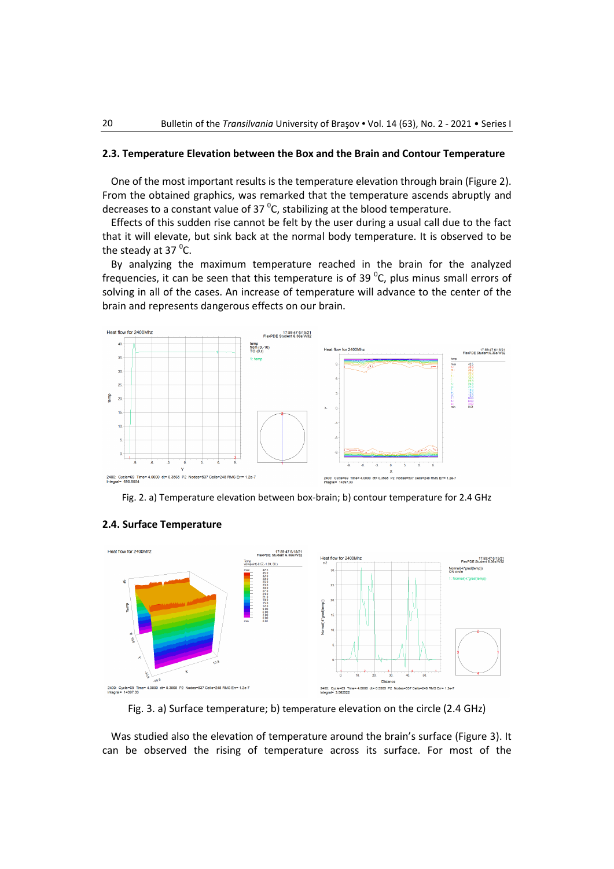## **2.3. Temperature Elevation between the Box and the Brain and Contour Temperature**

One of the most important results is the temperature elevation through brain (Figure 2). From the obtained graphics, was remarked that the temperature ascends abruptly and decreases to a constant value of 37  $^0$ C, stabilizing at the blood temperature.

Effects of this sudden rise cannot be felt by the user during a usual call due to the fact that it will elevate, but sink back at the normal body temperature. It is observed to be the steady at 37 <sup>o</sup>C.

By analyzing the maximum temperature reached in the brain for the analyzed frequencies, it can be seen that this temperature is of 39  $^0$ C, plus minus small errors of solving in all of the cases. An increase of temperature will advance to the center of the brain and represents dangerous effects on our brain.



Fig. 2. a) Temperature elevation between box-brain; b) contour temperature for 2.4 GHz



# **2.4. Surface Temperature**

Fig. 3. a) Surface temperature; b) temperature elevation on the circle (2.4 GHz)

Was studied also the elevation of temperature around the brain's surface (Figure 3). It can be observed the rising of temperature across its surface. For most of the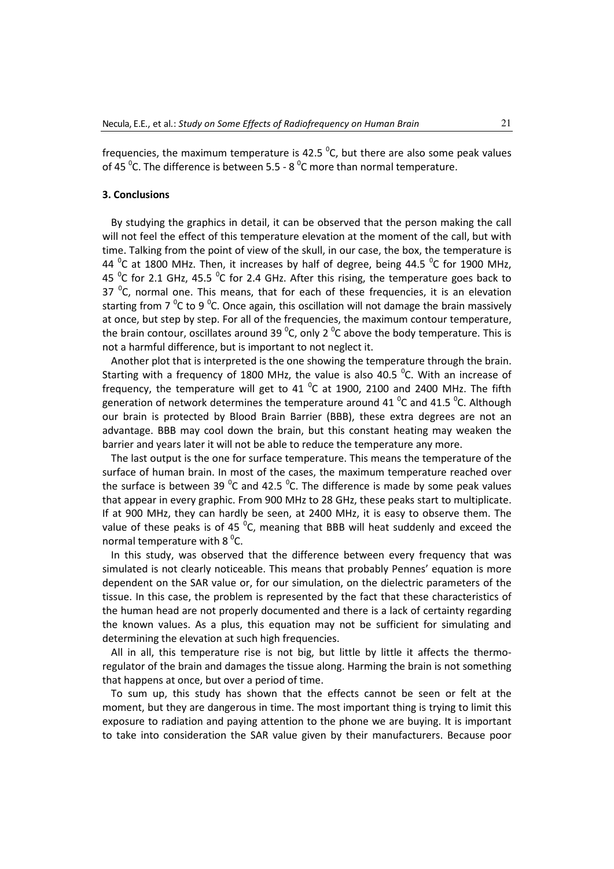frequencies, the maximum temperature is 42.5  $^0$ C, but there are also some peak values of 45  $\mathrm{^0C}$ . The difference is between 5.5 - 8  $\mathrm{^0C}$  more than normal temperature.

#### **3. Conclusions**

By studying the graphics in detail, it can be observed that the person making the call will not feel the effect of this temperature elevation at the moment of the call, but with time. Talking from the point of view of the skull, in our case, the box, the temperature is 44  $\mathrm{^0C}$  at 1800 MHz. Then, it increases by half of degree, being 44.5  $\mathrm{^0C}$  for 1900 MHz, 45  $\mathrm{^0C}$  for 2.1 GHz, 45.5  $\mathrm{^0C}$  for 2.4 GHz. After this rising, the temperature goes back to 37  $\mathrm{^0C}$ , normal one. This means, that for each of these frequencies, it is an elevation starting from 7  $\mathrm{^0C}$  to 9  $\mathrm{^0C}$ . Once again, this oscillation will not damage the brain massively at once, but step by step. For all of the frequencies, the maximum contour temperature, the brain contour, oscillates around 39  $^0$ C, only 2  $^0$ C above the body temperature. This is not a harmful difference, but is important to not neglect it.

Another plot that is interpreted is the one showing the temperature through the brain. Starting with a frequency of 1800 MHz, the value is also 40.5  $^0$ C. With an increase of frequency, the temperature will get to 41  $^{\circ}$ C at 1900, 2100 and 2400 MHz. The fifth generation of network determines the temperature around 41  $^0$ C and 41.5  $^0$ C. Although our brain is protected by Blood Brain Barrier (BBB), these extra degrees are not an advantage. BBB may cool down the brain, but this constant heating may weaken the barrier and years later it will not be able to reduce the temperature any more.

The last output is the one for surface temperature. This means the temperature of the surface of human brain. In most of the cases, the maximum temperature reached over the surface is between 39  $^0$ C and 42.5  $^0$ C. The difference is made by some peak values that appear in every graphic. From 900 MHz to 28 GHz, these peaks start to multiplicate. If at 900 MHz, they can hardly be seen, at 2400 MHz, it is easy to observe them. The value of these peaks is of 45  $^{0}$ C, meaning that BBB will heat suddenly and exceed the normal temperature with 8  $\mathrm{^{0}C}$ .

In this study, was observed that the difference between every frequency that was simulated is not clearly noticeable. This means that probably Pennes' equation is more dependent on the SAR value or, for our simulation, on the dielectric parameters of the tissue. In this case, the problem is represented by the fact that these characteristics of the human head are not properly documented and there is a lack of certainty regarding the known values. As a plus, this equation may not be sufficient for simulating and determining the elevation at such high frequencies.

All in all, this temperature rise is not big, but little by little it affects the thermoregulator of the brain and damages the tissue along. Harming the brain is not something that happens at once, but over a period of time.

To sum up, this study has shown that the effects cannot be seen or felt at the moment, but they are dangerous in time. The most important thing is trying to limit this exposure to radiation and paying attention to the phone we are buying. It is important to take into consideration the SAR value given by their manufacturers. Because poor